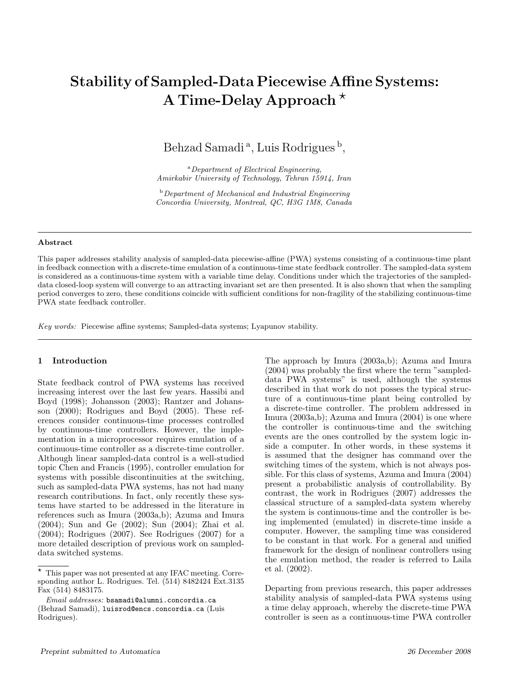# Stability of Sampled-Data Piecewise Affine Systems: A Time-Delay Approach<sup>\*</sup>

Behzad Samadi<sup>a</sup>, Luis Rodrigues<sup>b</sup>,

<sup>a</sup>Department of Electrical Engineering, Amirkabir University of Technology, Tehran 15914, Iran

 $b$ Department of Mechanical and Industrial Engineering Concordia University, Montreal, QC, H3G 1M8, Canada

### Abstract

This paper addresses stability analysis of sampled-data piecewise-affine (PWA) systems consisting of a continuous-time plant in feedback connection with a discrete-time emulation of a continuous-time state feedback controller. The sampled-data system is considered as a continuous-time system with a variable time delay. Conditions under which the trajectories of the sampleddata closed-loop system will converge to an attracting invariant set are then presented. It is also shown that when the sampling period converges to zero, these conditions coincide with sufficient conditions for non-fragility of the stabilizing continuous-time PWA state feedback controller.

Key words: Piecewise affine systems; Sampled-data systems; Lyapunov stability.

## 1 Introduction

State feedback control of PWA systems has received increasing interest over the last few years. Hassibi and Boyd (1998); Johansson (2003); Rantzer and Johansson (2000); Rodrigues and Boyd (2005). These references consider continuous-time processes controlled by continuous-time controllers. However, the implementation in a microprocessor requires emulation of a continuous-time controller as a discrete-time controller. Although linear sampled-data control is a well-studied topic Chen and Francis (1995), controller emulation for systems with possible discontinuities at the switching, such as sampled-data PWA systems, has not had many research contributions. In fact, only recently these systems have started to be addressed in the literature in references such as Imura (2003a,b); Azuma and Imura (2004); Sun and Ge (2002); Sun (2004); Zhai et al. (2004); Rodrigues (2007). See Rodrigues (2007) for a more detailed description of previous work on sampleddata switched systems.

The approach by Imura (2003a,b); Azuma and Imura (2004) was probably the first where the term "sampleddata PWA systems" is used, although the systems described in that work do not posses the typical structure of a continuous-time plant being controlled by a discrete-time controller. The problem addressed in Imura (2003a,b); Azuma and Imura (2004) is one where the controller is continuous-time and the switching events are the ones controlled by the system logic inside a computer. In other words, in these systems it is assumed that the designer has command over the switching times of the system, which is not always possible. For this class of systems, Azuma and Imura (2004) present a probabilistic analysis of controllability. By contrast, the work in Rodrigues (2007) addresses the classical structure of a sampled-data system whereby the system is continuous-time and the controller is being implemented (emulated) in discrete-time inside a computer. However, the sampling time was considered to be constant in that work. For a general and unified framework for the design of nonlinear controllers using the emulation method, the reader is referred to Laila et al. (2002).

Departing from previous research, this paper addresses stability analysis of sampled-data PWA systems using a time delay approach, whereby the discrete-time PWA controller is seen as a continuous-time PWA controller

<sup>⋆</sup> This paper was not presented at any IFAC meeting. Corresponding author L. Rodrigues. Tel. (514) 8482424 Ext.3135 Fax (514) 8483175.

Email addresses: bsamadi@alumni.concordia.ca (Behzad Samadi), luisrod@encs.concordia.ca (Luis Rodrigues).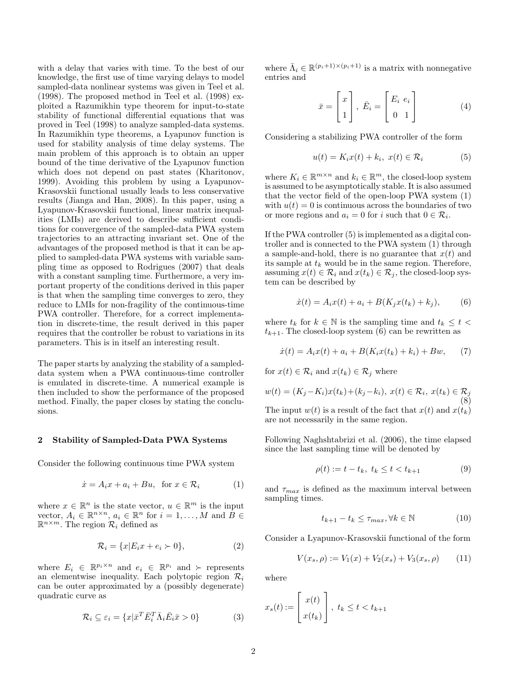with a delay that varies with time. To the best of our knowledge, the first use of time varying delays to model sampled-data nonlinear systems was given in Teel et al. (1998). The proposed method in Teel et al. (1998) exploited a Razumikhin type theorem for input-to-state stability of functional differential equations that was proved in Teel (1998) to analyze sampled-data systems. In Razumikhin type theorems, a Lyapunov function is used for stability analysis of time delay systems. The main problem of this approach is to obtain an upper bound of the time derivative of the Lyapunov function which does not depend on past states (Kharitonov, 1999). Avoiding this problem by using a Lyapunov-Krasovskii functional usually leads to less conservative results (Jianga and Han, 2008). In this paper, using a Lyapunov-Krasovskii functional, linear matrix inequalities (LMIs) are derived to describe sufficient conditions for convergence of the sampled-data PWA system trajectories to an attracting invariant set. One of the advantages of the proposed method is that it can be applied to sampled-data PWA systems with variable sampling time as opposed to Rodrigues (2007) that deals with a constant sampling time. Furthermore, a very important property of the conditions derived in this paper is that when the sampling time converges to zero, they reduce to LMIs for non-fragility of the continuous-time PWA controller. Therefore, for a correct implementation in discrete-time, the result derived in this paper requires that the controller be robust to variations in its parameters. This is in itself an interesting result.

The paper starts by analyzing the stability of a sampleddata system when a PWA continuous-time controller is emulated in discrete-time. A numerical example is then included to show the performance of the proposed method. Finally, the paper closes by stating the conclusions.

## 2 Stability of Sampled-Data PWA Systems

Consider the following continuous time PWA system

$$
\dot{x} = A_i x + a_i + B u, \text{ for } x \in \mathcal{R}_i \tag{1}
$$

where  $x \in \mathbb{R}^n$  is the state vector,  $u \in \mathbb{R}^m$  is the input vector,  $A_i \in \mathbb{R}^{n \times n}$ ,  $a_i \in \mathbb{R}^n$  for  $i = 1, ..., M$  and  $B \in \mathbb{R}^{n \times m}$ .  $\mathbb{R}^{n \times m}$ . The region  $\mathcal{R}_i$  defined as

$$
\mathcal{R}_i = \{x | E_i x + e_i \succ 0\},\tag{2}
$$

where  $E_i \in \mathbb{R}^{p_i \times n}$  and  $e_i \in \mathbb{R}^{p_i}$  and  $\succ$  represents an elementwise inequality. Each polytopic region  $\mathcal{R}_i$ can be outer approximated by a (possibly degenerate) quadratic curve as

$$
\mathcal{R}_i \subseteq \varepsilon_i = \{x | \bar{x}^T \bar{E}_i^T \bar{\Lambda}_i \bar{E}_i \bar{x} > 0\}
$$
 (3)

where  $\bar{\Lambda}_i \in \mathbb{R}^{(p_i+1)\times (p_i+1)}$  is a matrix with nonnegative entries and

$$
\bar{x} = \begin{bmatrix} x \\ 1 \end{bmatrix}, \ \bar{E}_i = \begin{bmatrix} E_i & e_i \\ 0 & 1 \end{bmatrix}
$$
 (4)

Considering a stabilizing PWA controller of the form

$$
u(t) = K_i x(t) + k_i, \ x(t) \in \mathcal{R}_i \tag{5}
$$

where  $K_i \in \mathbb{R}^{m \times n}$  and  $k_i \in \mathbb{R}^m$ , the closed-loop system is assumed to be asymptotically stable. It is also assumed that the vector field of the open-loop PWA system (1) with  $u(t) = 0$  is continuous across the boundaries of two or more regions and  $a_i = 0$  for i such that  $0 \in \mathcal{R}_i$ .

If the PWA controller (5) is implemented as a digital controller and is connected to the PWA system (1) through a sample-and-hold, there is no guarantee that  $x(t)$  and its sample at  $t_k$  would be in the same region. Therefore, assuming  $x(t) \in \mathcal{R}_i$  and  $x(t_k) \in \mathcal{R}_j$ , the closed-loop system can be described by

$$
\dot{x}(t) = A_i x(t) + a_i + B(K_j x(t_k) + k_j), \tag{6}
$$

where  $t_k$  for  $k \in \mathbb{N}$  is the sampling time and  $t_k \leq t$  $t_{k+1}$ . The closed-loop system (6) can be rewritten as

$$
\dot{x}(t) = A_i x(t) + a_i + B(K_i x(t_k) + k_i) + Bw,\qquad(7)
$$

for  $x(t) \in \mathcal{R}_i$  and  $x(t_k) \in \mathcal{R}_i$  where

$$
w(t) = (K_j - K_i)x(t_k) + (k_j - k_i), x(t) \in \mathcal{R}_i, x(t_k) \in \mathcal{R}_j
$$
  
\nThe input  $w(t)$  is a result of the fact that  $x(t)$  and  $x(t_k)$   
\nare not necessarily in the same region.

Following Naghshtabrizi et al. (2006), the time elapsed since the last sampling time will be denoted by

$$
\rho(t) := t - t_k, \ t_k \le t < t_{k+1} \tag{9}
$$

and  $\tau_{max}$  is defined as the maximum interval between sampling times.

$$
t_{k+1} - t_k \le \tau_{max}, \forall k \in \mathbb{N} \tag{10}
$$

Consider a Lyapunov-Krasovskii functional of the form

$$
V(x_s, \rho) := V_1(x) + V_2(x_s) + V_3(x_s, \rho) \tag{11}
$$

where

$$
x_s(t) := \begin{bmatrix} x(t) \\ x(t_k) \end{bmatrix}, \ t_k \le t < t_{k+1}
$$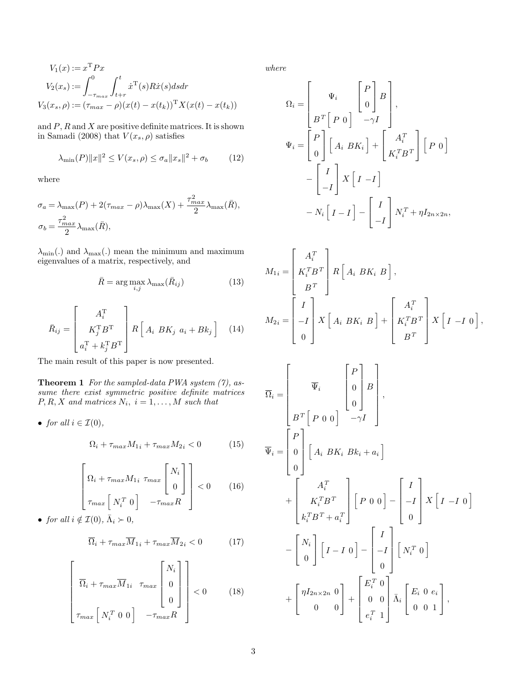$$
V_1(x) := x^{\mathrm{T}} P x
$$
  
\n
$$
V_2(x_s) := \int_{-\tau_{max}}^0 \int_{t+r}^t \dot{x}^{\mathrm{T}}(s) R \dot{x}(s) ds dr
$$
  
\n
$$
V_3(x_s, \rho) := (\tau_{max} - \rho)(x(t) - x(t_k))^{\mathrm{T}} X(x(t) - x(t_k))
$$

and  $P$ ,  $R$  and  $X$  are positive definite matrices. It is shown in Samadi (2008) that  $V(x_s, \rho)$  satisfies

$$
\lambda_{\min}(P)\|x\|^2 \le V(x_s, \rho) \le \sigma_a \|x_s\|^2 + \sigma_b \tag{12}
$$

where

$$
\sigma_a = \lambda_{\max}(P) + 2(\tau_{max} - \rho)\lambda_{\max}(X) + \frac{\tau_{max}^2}{2}\lambda_{\max}(\bar{R}),
$$
  

$$
\sigma_b = \frac{\tau_{max}^2}{2}\lambda_{\max}(\bar{R}),
$$

 $\lambda_{\min}$ .) and  $\lambda_{\max}$ .) mean the minimum and maximum eigenvalues of a matrix, respectively, and

$$
\bar{R} = \arg\max_{i,j} \lambda_{\max}(\bar{R}_{ij})
$$
\n(13)

$$
\bar{R}_{ij} = \begin{bmatrix} A_i^{\mathrm{T}} \\ K_j^{\mathrm{T}} B^{\mathrm{T}} \\ a_i^{\mathrm{T}} + k_j^{\mathrm{T}} B^{\mathrm{T}} \end{bmatrix} R \begin{bmatrix} A_i \ B K_j \ a_i + B k_j \end{bmatrix} \quad (14)
$$

The main result of this paper is now presented.

**Theorem 1** For the sampled-data PWA system  $(7)$ , assume there exist symmetric positive definite matrices  $P, R, X$  and matrices  $N_i$ ,  $i = 1, ..., M$  such that

• for all 
$$
i \in \mathcal{I}(0)
$$
,

$$
\Omega_i + \tau_{max} M_{1i} + \tau_{max} M_{2i} < 0 \tag{15}
$$

$$
\begin{bmatrix}\n\Omega_i + \tau_{max} M_{1i} \ \tau_{max} \begin{bmatrix} N_i \\ 0 \end{bmatrix} \end{bmatrix} < 0 \qquad (16)
$$
\n
$$
\tau_{max} \begin{bmatrix} N_i^T \ 0 \end{bmatrix} - \tau_{max} R
$$

• for all  $i \notin \mathcal{I}(0), \bar{\Lambda}_i \succ 0$ ,

$$
\overline{\Omega}_i + \tau_{max} \overline{M}_{1i} + \tau_{max} \overline{M}_{2i} < 0 \tag{17}
$$

$$
\begin{bmatrix}\n\overline{\Omega}_i + \tau_{max} \overline{M}_{1i} & \tau_{max} \begin{bmatrix} N_i \\ 0 \\ 0 \end{bmatrix} \\
\tau_{max} \begin{bmatrix} N_i^T & 0 & 0 \end{bmatrix} & -\tau_{max} R\n\end{bmatrix} < 0 \tag{18}
$$

where

$$
\Omega_{i} = \begin{bmatrix} \Psi_{i} & \begin{bmatrix} P \\ 0 \end{bmatrix} B \\ B^{T} \begin{bmatrix} P & 0 \end{bmatrix} & -\gamma I \end{bmatrix}, \\ \Psi_{i} = \begin{bmatrix} P \\ 0 \end{bmatrix} \begin{bmatrix} A_{i} & BK_{i} \end{bmatrix} + \begin{bmatrix} A_{i}^{T} \\ K_{i}^{T}B^{T} \end{bmatrix} \begin{bmatrix} P & 0 \end{bmatrix} \\ - \begin{bmatrix} I \\ -I \end{bmatrix} X \begin{bmatrix} I & -I \end{bmatrix} \\ - N_{i} \begin{bmatrix} I & -I \end{bmatrix} - \begin{bmatrix} I \\ -I \end{bmatrix} N_{i}^{T} + \eta I_{2n \times 2n}, \end{bmatrix}
$$

$$
M_{1i} = \begin{bmatrix} A_i^T \\ K_i^T B^T \\ B^T \end{bmatrix} R \begin{bmatrix} A_i B K_i B \end{bmatrix},
$$
  

$$
M_{2i} = \begin{bmatrix} I \\ -I \\ 0 \end{bmatrix} X \begin{bmatrix} A_i B K_i B \end{bmatrix} + \begin{bmatrix} A_i^T \\ K_i^T B^T \\ B^T \end{bmatrix} X \begin{bmatrix} I - I & 0 \end{bmatrix},
$$

$$
\overline{\Omega}_{i} = \begin{bmatrix} \overline{\Psi}_{i} & \begin{bmatrix} P \\ 0 \\ 0 \end{bmatrix} B \\ B^{T} \begin{bmatrix} P & 0 & 0 \end{bmatrix} & -\gamma I \end{bmatrix},
$$
  

$$
\overline{\Psi}_{i} = \begin{bmatrix} P \\ 0 \\ 0 \end{bmatrix} \begin{bmatrix} A_{i} B K_{i} B k_{i} + a_{i} \end{bmatrix} + \begin{bmatrix} A_{i}^{T} \\ K_{i}^{T} B^{T} \\ k_{i}^{T} B^{T} + a_{i}^{T} \end{bmatrix} \begin{bmatrix} P & 0 & 0 \end{bmatrix} - \begin{bmatrix} I \\ -I \\ 0 \end{bmatrix} X \begin{bmatrix} I & -I & 0 \end{bmatrix} - \begin{bmatrix} N_{i} \\ 0 \end{bmatrix} \begin{bmatrix} I - I & 0 \end{bmatrix} - \begin{bmatrix} I \\ -I \\ 0 \end{bmatrix} \begin{bmatrix} N_{i}^{T} & 0 \end{bmatrix} + \begin{bmatrix} \eta I_{2n \times 2n} & 0 \\ 0 & 0 & 0 \end{bmatrix} + \begin{bmatrix} E_{i}^{T} & 0 \\ 0 & 0 & 0 \\ e_{i}^{T} & 1 \end{bmatrix} \overline{\Lambda}_{i} \begin{bmatrix} E_{i} & 0 & e_{i} \\ 0 & 0 & 1 \end{bmatrix},
$$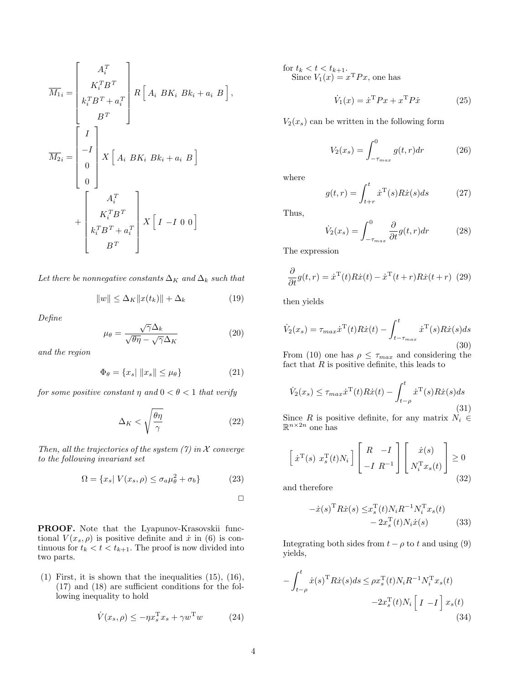$$
\overline{M}_{1i} = \begin{bmatrix} A_i^T \\ K_i^T B^T \\ k_i^T B^T + a_i^T \\ B^T \end{bmatrix} R \begin{bmatrix} A_i \ B K_i \ B k_i + a_i \ B \end{bmatrix},
$$

$$
\overline{M}_{2i} = \begin{bmatrix} I \\ -I \\ 0 \\ 0 \end{bmatrix} X \begin{bmatrix} A_i \ B K_i \ B k_i + a_i \ B \end{bmatrix}
$$

$$
+ \begin{bmatrix} A_i^T \\ K_i^T B^T \\ k_i^T B^T + a_i^T \\ B^T \end{bmatrix} X \begin{bmatrix} I - I \ 0 \ 0 \end{bmatrix}
$$

Let there be nonnegative constants  $\Delta_K$  and  $\Delta_k$  such that

$$
||w|| \leq \Delta_K ||x(t_k)|| + \Delta_k \tag{19}
$$

Define

$$
\mu_{\theta} = \frac{\sqrt{\gamma} \Delta_k}{\sqrt{\theta \eta} - \sqrt{\gamma} \Delta_K} \tag{20}
$$

and the region

$$
\Phi_{\theta} = \{x_s | \|x_s\| \le \mu_{\theta}\}\tag{21}
$$

for some positive constant  $\eta$  and  $0 < \theta < 1$  that verify

$$
\Delta_K < \sqrt{\frac{\theta \eta}{\gamma}}\tag{22}
$$

Then, all the trajectories of the system  $(7)$  in X converge to the following invariant set

$$
\Omega = \{x_s | V(x_s, \rho) \le \sigma_a \mu_\theta^2 + \sigma_b\} \tag{23}
$$

 $\Box$ 

PROOF. Note that the Lyapunov-Krasovskii functional  $V(x_s, \rho)$  is positive definite and  $\dot{x}$  in (6) is continuous for  $t_k < t < t_{k+1}$ . The proof is now divided into two parts.

(1) First, it is shown that the inequalities (15), (16), (17) and (18) are sufficient conditions for the following inequality to hold

$$
\dot{V}(x_s, \rho) \le -\eta x_s^{\mathrm{T}} x_s + \gamma w^{\mathrm{T}} w \tag{24}
$$

for  $t_k < t < t_{k+1}$ . Since  $V_1(x) = x^{\mathrm{T}} Px$ , one has

$$
\dot{V}_1(x) = \dot{x}^{\mathrm{T}} P x + x^{\mathrm{T}} P \dot{x} \tag{25}
$$

 $V_2(x_s)$  can be written in the following form

$$
V_2(x_s) = \int_{-\tau_{max}}^0 g(t, r) dr
$$
 (26)

where

$$
g(t,r) = \int_{t+r}^{t} \dot{x}^{\mathrm{T}}(s) R \dot{x}(s) ds \qquad (27)
$$

Thus,

$$
\dot{V}_2(x_s) = \int_{-\tau_{max}}^0 \frac{\partial}{\partial t} g(t, r) dr \tag{28}
$$

The expression

$$
\frac{\partial}{\partial t}g(t,r) = \dot{x}^{\mathrm{T}}(t)R\dot{x}(t) - \dot{x}^{\mathrm{T}}(t+r)R\dot{x}(t+r)
$$
 (29)

then yields

$$
\dot{V}_2(x_s) = \tau_{max} \dot{x}^{\mathrm{T}}(t) R \dot{x}(t) - \int_{t-\tau_{max}}^t \dot{x}^{\mathrm{T}}(s) R \dot{x}(s) ds
$$
\n(30)

From (10) one has  $\rho \leq \tau_{max}$  and considering the fact that  $R$  is positive definite, this leads to

$$
\dot{V}_2(x_s) \le \tau_{max} \dot{x}^{\mathrm{T}}(t) R \dot{x}(t) - \int_{t-\rho}^t \dot{x}^{\mathrm{T}}(s) R \dot{x}(s) ds \tag{31}
$$

Since *R* is positive definite, for any matrix  $N_i \in \mathbb{R}^{n \times 2n}$  one has

$$
\begin{bmatrix} \dot{x}^{\mathrm{T}}(s) \ x_s^{\mathrm{T}}(t) N_i \end{bmatrix} \begin{bmatrix} R & -I \\ -I & R^{-1} \end{bmatrix} \begin{bmatrix} \dot{x}(s) \\ N_i^{\mathrm{T}} x_s(t) \end{bmatrix} \geq 0 \tag{32}
$$

and therefore

$$
-\dot{x}(s)^{\mathrm{T}} R \dot{x}(s) \leq x_s^{\mathrm{T}}(t) N_i R^{-1} N_i^{\mathrm{T}} x_s(t) - 2x_s^{\mathrm{T}}(t) N_i \dot{x}(s)
$$
 (33)

Integrating both sides from  $t - \rho$  to t and using (9) yields,

$$
-\int_{t-\rho}^{t} \dot{x}(s)^{\mathrm{T}} R \dot{x}(s) ds \leq \rho x_s^{\mathrm{T}}(t) N_i R^{-1} N_i^{\mathrm{T}} x_s(t)
$$

$$
-2x_s^{\mathrm{T}}(t) N_i \left[ I - I \right] x_s(t)
$$
(34)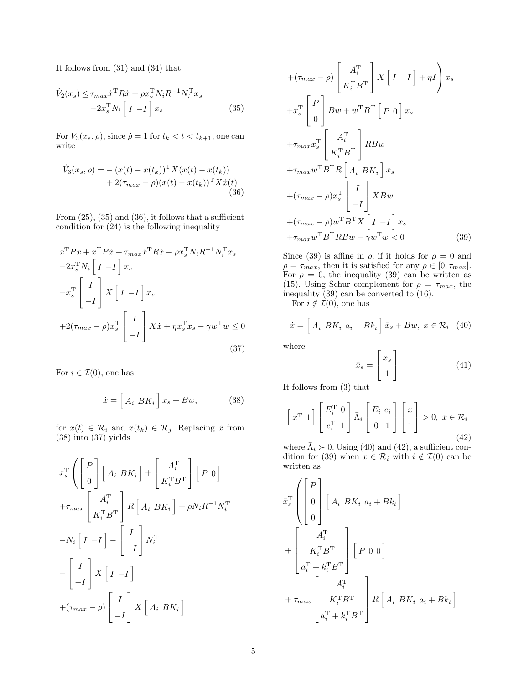It follows from (31) and (34) that

$$
\dot{V}_2(x_s) \leq \tau_{max} \dot{x}^{\mathrm{T}} R \dot{x} + \rho x_s^{\mathrm{T}} N_i R^{-1} N_i^{\mathrm{T}} x_s
$$
  
-2 $x_s^{\mathrm{T}} N_i \left[ I - I \right] x_s$  (35)

For  $V_3(x_s, \rho)$ , since  $\dot{\rho} = 1$  for  $t_k < t < t_{k+1}$ , one can write

$$
\dot{V}_3(x_s, \rho) = -(x(t) - x(t_k))^{\mathrm{T}} X(x(t) - x(t_k)) \n+ 2(\tau_{max} - \rho)(x(t) - x(t_k))^{\mathrm{T}} X \dot{x}(t) \n(36)
$$

From  $(25)$ ,  $(35)$  and  $(36)$ , it follows that a sufficient condition for (24) is the following inequality

$$
\dot{x}^{\mathrm{T}} P x + x^{\mathrm{T}} P \dot{x} + \tau_{max} \dot{x}^{\mathrm{T}} R \dot{x} + \rho x_s^{\mathrm{T}} N_i R^{-1} N_i^{\mathrm{T}} x_s
$$
  
\n
$$
-2 x_s^{\mathrm{T}} N_i \begin{bmatrix} I & -I \end{bmatrix} x_s
$$
  
\n
$$
-x_s^{\mathrm{T}} \begin{bmatrix} I \\ -I \end{bmatrix} X \begin{bmatrix} I & -I \end{bmatrix} x_s
$$
  
\n
$$
+2(\tau_{max} - \rho) x_s^{\mathrm{T}} \begin{bmatrix} I \\ -I \end{bmatrix} X \dot{x} + \eta x_s^{\mathrm{T}} x_s - \gamma w^{\mathrm{T}} w \le 0
$$
\n(37)

For  $i \in \mathcal{I}(0)$ , one has

$$
\dot{x} = \left[ A_i \; BK_i \right] x_s + Bw, \tag{38}
$$

for  $x(t) \in \mathcal{R}_i$  and  $x(t_k) \in \mathcal{R}_j$ . Replacing  $\dot{x}$  from (38) into (37) yields

$$
x_s^{\text{T}} \left( \begin{bmatrix} P \\ 0 \end{bmatrix} \begin{bmatrix} A_i & BK_i \end{bmatrix} + \begin{bmatrix} A_i^{\text{T}} \\ K_i^{\text{T}} B^{\text{T}} \end{bmatrix} \begin{bmatrix} P & 0 \end{bmatrix} \right)
$$
  
+
$$
\tau_{max} \begin{bmatrix} A_i^{\text{T}} \\ K_i^{\text{T}} B^{\text{T}} \end{bmatrix} R \begin{bmatrix} A_i & BK_i \end{bmatrix} + \rho N_i R^{-1} N_i^{\text{T}}
$$

$$
-N_i \begin{bmatrix} I & -I \end{bmatrix} - \begin{bmatrix} I \\ -I \end{bmatrix} N_i^{\text{T}}
$$

$$
- \begin{bmatrix} I \\ -I \end{bmatrix} X \begin{bmatrix} I & -I \end{bmatrix}
$$

$$
+ (\tau_{max} - \rho) \begin{bmatrix} I \\ -I \end{bmatrix} X \begin{bmatrix} A_i & BK_i \end{bmatrix}
$$

$$
+(\tau_{max} - \rho) \begin{bmatrix} A_i^{\mathrm{T}} \\ K_i^{\mathrm{T}} B^{\mathrm{T}} \end{bmatrix} X \begin{bmatrix} I & -I \end{bmatrix} + \eta I \begin{bmatrix} 1 \\ x_s \end{bmatrix} x_s
$$
  
\n
$$
+ x_s^{\mathrm{T}} \begin{bmatrix} P \\ 0 \end{bmatrix} Bw + w^{\mathrm{T}} B^{\mathrm{T}} \begin{bmatrix} P & 0 \end{bmatrix} x_s
$$
  
\n
$$
+ \tau_{max} x_s^{\mathrm{T}} \begin{bmatrix} A_i^{\mathrm{T}} \\ K_i^{\mathrm{T}} B^{\mathrm{T}} \end{bmatrix} R Bw
$$
  
\n
$$
+ \tau_{max} w^{\mathrm{T}} B^{\mathrm{T}} R \begin{bmatrix} A_i & BK_i \end{bmatrix} x_s
$$
  
\n
$$
+ (\tau_{max} - \rho) x_s^{\mathrm{T}} \begin{bmatrix} I \\ -I \end{bmatrix} X Bw
$$
  
\n
$$
+ (\tau_{max} - \rho) w^{\mathrm{T}} B^{\mathrm{T}} X \begin{bmatrix} I & -I \end{bmatrix} x_s
$$
  
\n
$$
+ \tau_{max} w^{\mathrm{T}} B^{\mathrm{T}} R Bw - \gamma w^{\mathrm{T}} w < 0
$$
 (39)

Since (39) is affine in  $\rho$ , if it holds for  $\rho = 0$  and  $\rho = \tau_{max}$ , then it is satisfied for any  $\rho \in [0, \tau_{max}]$ . For  $\rho = 0$ , the inequality (39) can be written as (15). Using Schur complement for  $\rho = \tau_{max}$ , the inequality (39) can be converted to (16).

For  $i \notin \mathcal{I}(0)$ , one has

$$
\dot{x} = \left[A_i \ B K_i \ a_i + B k_i\right] \bar{x}_s + B w, \ x \in \mathcal{R}_i \quad (40)
$$

where

$$
\bar{x}_s = \begin{bmatrix} x_s \\ 1 \end{bmatrix} \tag{41}
$$

It follows from (3) that

$$
\begin{bmatrix} x^{\mathrm{T}} & 1 \end{bmatrix} \begin{bmatrix} E_i^{\mathrm{T}} & 0 \\ e_i^{\mathrm{T}} & 1 \end{bmatrix} \bar{\Lambda}_i \begin{bmatrix} E_i & e_i \\ 0 & 1 \end{bmatrix} \begin{bmatrix} x \\ 1 \end{bmatrix} > 0, \ x \in \mathcal{R}_i
$$
\n(42)

where  $\bar{\Lambda}_i \succ 0$ . Using (40) and (42), a sufficient condition for (39) when  $x \in \mathcal{R}_i$  with  $i \notin \mathcal{I}(0)$  can be written as

$$
\bar{x}_{s}^{\mathrm{T}} \left( \begin{bmatrix} P \\ 0 \\ 0 \end{bmatrix} \begin{bmatrix} A_{i} & BK_{i} & a_{i} + Bk_{i} \end{bmatrix} + \begin{bmatrix} A_{i}^{\mathrm{T}} \\ K_{i}^{\mathrm{T}}B^{\mathrm{T}} \\ a_{i}^{\mathrm{T}} + k_{i}^{\mathrm{T}}B^{\mathrm{T}} \end{bmatrix} \begin{bmatrix} P & 0 & 0 \end{bmatrix} + \tau_{max} \begin{bmatrix} A_{i}^{\mathrm{T}} \\ K_{i}^{\mathrm{T}}B^{\mathrm{T}} \\ a_{i}^{\mathrm{T}} + k_{i}^{\mathrm{T}}B^{\mathrm{T}} \end{bmatrix} R \begin{bmatrix} A_{i} & BK_{i} & a_{i} + Bk_{i} \end{bmatrix} \right)
$$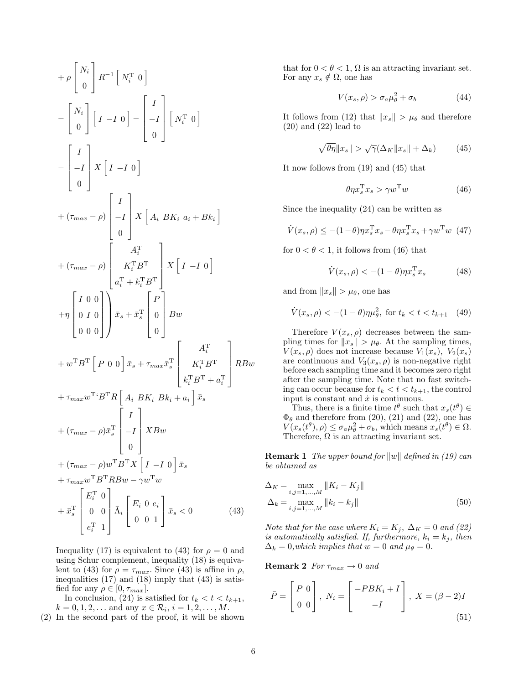$$
+ \rho \begin{bmatrix} N_i \\ 0 \end{bmatrix} R^{-1} \begin{bmatrix} N_i^T & 0 \end{bmatrix}
$$
  
\n
$$
- \begin{bmatrix} N_i \\ 0 \end{bmatrix} \begin{bmatrix} I & -I & 0 \end{bmatrix} - \begin{bmatrix} I \\ -I \\ 0 \end{bmatrix} \begin{bmatrix} N_i^T & 0 \end{bmatrix}
$$
  
\n
$$
- \begin{bmatrix} I \\ -I \\ 0 \end{bmatrix} X \begin{bmatrix} I & -I & 0 \end{bmatrix}
$$
  
\n
$$
+ (\tau_{max} - \rho) \begin{bmatrix} I \\ -I \\ 0 \end{bmatrix} X \begin{bmatrix} A_i B K_i a_i + B k_i \end{bmatrix}
$$
  
\n
$$
+ (\tau_{max} - \rho) \begin{bmatrix} A_i^T \\ K_i^T B^T \\ a_i^T + k_i^T B^T \end{bmatrix} X \begin{bmatrix} I & -I & 0 \end{bmatrix}
$$
  
\n
$$
+ \eta \begin{bmatrix} I & 0 & 0 \\ 0 & I & 0 \\ 0 & 0 & 0 \end{bmatrix} \begin{bmatrix} \bar{x}_s + \bar{x}_s^T \\ \bar{x}_s + \bar{x}_s^T \end{bmatrix} \begin{bmatrix} P \\ 0 \\ 0 \end{bmatrix} B w
$$
  
\n
$$
+ w^T B^T \begin{bmatrix} P & 0 & 0 \end{bmatrix} \bar{x}_s + \tau_{max} \bar{x}_s^T \begin{bmatrix} A_i^T \\ K_i^T B^T + a_i^T \end{bmatrix} R B w
$$
  
\n
$$
+ (\tau_{max} - \rho) \bar{x}_s^T \begin{bmatrix} I \\ -I \\ 0 \end{bmatrix} X B w
$$
  
\n
$$
+ (\tau_{max} - \rho) w^T B^T X \begin{bmatrix} I & -I & 0 \end{bmatrix} \bar{x}_s
$$
  
\n
$$
+ \tau_{max} w^T B^T R B w - \gamma w^T w
$$
  
\n
$$
+ \bar{x}_s^T \begin{bmatrix} E_i^T & 0 \\ 0 & 0 \\ e_i^T & 1 \end{bmatrix} \bar{\Lambda}_i \begin{bmatrix} E_i & 0 & e_i \\ 0 & 0 & 1 \end{bmatrix} \bar{x}_s < 0
$$
(4

Inequality (17) is equivalent to (43) for  $\rho = 0$  and using Schur complement, inequality (18) is equivalent to (43) for  $\rho = \tau_{max}$ . Since (43) is affine in  $\rho$ , inequalities (17) and (18) imply that (43) is satisfied for any  $\rho \in [0, \tau_{max}]$ .

In conclusion, (24) is satisfied for  $t_k < t < t_{k+1}$ ,  $k = 0, 1, 2, ...$  and any  $x \in \mathcal{R}_i, i = 1, 2, ..., M$ .

(2) In the second part of the proof, it will be shown

that for  $0 < \theta < 1$ ,  $\Omega$  is an attracting invariant set. For any  $x_s \notin \Omega$ , one has

$$
V(x_s, \rho) > \sigma_a \mu_\theta^2 + \sigma_b \tag{44}
$$

It follows from (12) that  $||x_s|| > \mu_{\theta}$  and therefore (20) and (22) lead to

$$
\sqrt{\theta \eta} \|x_s\| > \sqrt{\gamma} (\Delta_K \|x_s\| + \Delta_k)
$$
 (45)

It now follows from (19) and (45) that

$$
\theta \eta x_s^{\mathrm{T}} x_s > \gamma w^{\mathrm{T}} w \tag{46}
$$

Since the inequality (24) can be written as

$$
\dot{V}(x_s, \rho) \le -(1-\theta)\eta x_s^{\mathrm{T}} x_s - \theta \eta x_s^{\mathrm{T}} x_s + \gamma w^{\mathrm{T}} w \tag{47}
$$

for  $0 < \theta < 1$ , it follows from (46) that

$$
\dot{V}(x_s, \rho) < -(1 - \theta)\eta x_s^{\mathrm{T}} x_s \tag{48}
$$

and from  $||x_s|| > \mu_\theta$ , one has

$$
\dot{V}(x_s, \rho) < -(1 - \theta)\eta \mu_\theta^2, \text{ for } t_k < t < t_{k+1} \quad (49)
$$

Therefore  $V(x_s, \rho)$  decreases between the sampling times for  $||x_s|| > \mu_{\theta}$ . At the sampling times,  $V(x_s, \rho)$  does not increase because  $V_1(x_s)$ ,  $V_2(x_s)$ are continuous and  $V_3(x_s, \rho)$  is non-negative right before each sampling time and it becomes zero right after the sampling time. Note that no fast switching can occur because for  $t_k < t < t_{k+1}$ , the control input is constant and  $\dot{x}$  is continuous.

Thus, there is a finite time  $t^{\theta}$  such that  $x_s(t^{\theta}) \in$  $\Phi_{\theta}$  and therefore from (20), (21) and (22), one has  $V(x_s(t^{\theta}), \rho) \leq \sigma_a \mu_{\theta}^2 + \sigma_b$ , which means  $x_s(t^{\theta}) \in \Omega$ . Therefore,  $\Omega$  is an attracting invariant set.

**Remark 1** The upper bound for  $||w||$  defined in (19) can be obtained as

$$
\Delta_K = \max_{i,j=1,...,M} \|K_i - K_j\|
$$
  
\n
$$
\Delta_k = \max_{i,j=1,...,M} \|k_i - k_j\|
$$
\n(50)

Note that for the case where  $K_i = K_j$ ,  $\Delta_K = 0$  and (22) is automatically satisfied. If, furthermore,  $k_i = k_j$ , then  $\Delta_k = 0$ , which implies that  $w = 0$  and  $\mu_\theta = 0$ .

**Remark 2** For  $\tau_{max} \rightarrow 0$  and

$$
\bar{P} = \begin{bmatrix} P & 0 \\ 0 & 0 \end{bmatrix}, N_i = \begin{bmatrix} -PBK_i + I \\ -I \end{bmatrix}, X = (\beta - 2)I
$$
\n(51)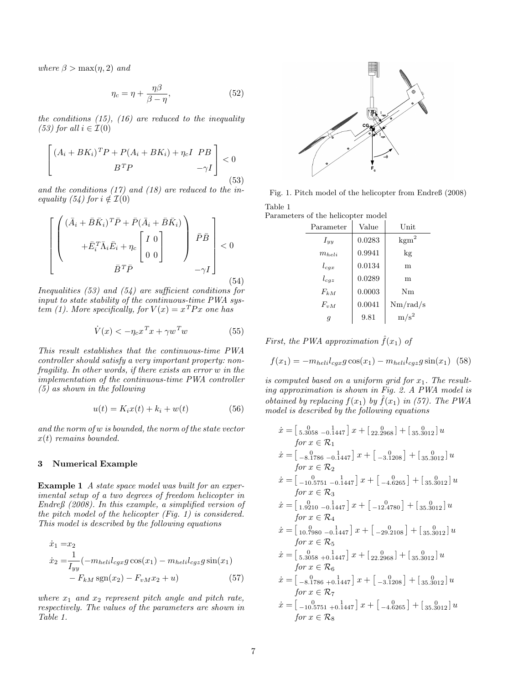where  $\beta > \max(n, 2)$  and

$$
\eta_c = \eta + \frac{\eta \beta}{\beta - \eta},\tag{52}
$$

the conditions  $(15)$ ,  $(16)$  are reduced to the inequality (53) for all  $i \in \mathcal{I}(0)$ 

$$
\begin{bmatrix} (A_i + BK_i)^T P + P(A_i + BK_i) + \eta_c I & PB \\ B^T P & -\gamma I \end{bmatrix} < 0
$$
\n(53)

and the conditions (17) and (18) are reduced to the inequality (54) for  $i \notin \mathcal{I}(0)$ 

$$
\left[ \begin{pmatrix} (\bar{A}_i + \bar{B}\bar{K}_i)^T \bar{P} + \bar{P}(\bar{A}_i + \bar{B}\bar{K}_i) \\ + \bar{E}_i^T \bar{\Lambda}_i \bar{E}_i + \eta_c \begin{bmatrix} I & 0 \\ 0 & 0 \end{bmatrix} \end{pmatrix} \begin{bmatrix} \bar{P}\bar{B} \\ \bar{P} \end{bmatrix} < 0
$$
  

$$
\bar{B}^T \bar{P} \tag{54}
$$

Inequalities  $(53)$  and  $(54)$  are sufficient conditions for input to state stability of the continuous-time PWA system (1). More specifically, for  $V(x) = x^T P x$  one has

$$
\dot{V}(x) < -\eta_c x^T x + \gamma w^T w \tag{55}
$$

This result establishes that the continuous-time PWA controller should satisfy a very important property: non $fragility.$  In other words, if there exists an error  $w$  in the implementation of the continuous-time PWA controller (5) as shown in the following

$$
u(t) = K_i x(t) + k_i + w(t)
$$
\n
$$
(56)
$$

and the norm of w is bounded, the norm of the state vector  $x(t)$  remains bounded.

### 3 Numerical Example

Example 1 A state space model was built for an experimental setup of a two degrees of freedom helicopter in Endreß (2008). In this example, a simplified version of the pitch model of the helicopter (Fig. 1) is considered. This model is described by the following equations

$$
\begin{aligned} \dot{x}_1 &= x_2\\ \dot{x}_2 &= \frac{1}{I_{yy}} (-m_{heli} l_{cgx} g \cos(x_1) - m_{heli} l_{cgz} g \sin(x_1) \\ &- F_{kM} \text{sgn}(x_2) - F_{vM} x_2 + u) \end{aligned} \tag{57}
$$

where  $x_1$  and  $x_2$  represent pitch angle and pitch rate, respectively. The values of the parameters are shown in Table 1.



Fig. 1. Pitch model of the helicopter from Endreß (2008) Table 1

Parameters of the helicopter model

| Parameter  | Value  | Unit             |
|------------|--------|------------------|
| $I_{yy}$   | 0.0283 | $\text{kgm}^2$   |
| $m_{heli}$ | 0.9941 | $\log$           |
| $l_{cgx}$  | 0.0134 | m                |
| $l_{cgz}$  | 0.0289 | m                |
| $F_{kM}$   | 0.0003 | Nm               |
| $F_{vM}$   | 0.0041 | Nm/rad/s         |
| g          | 9.81   | m/s <sup>2</sup> |

First, the PWA approximation  $\hat{f}(x_1)$  of

$$
f(x_1) = -m_{heli}l_{cgx}g\cos(x_1) - m_{heli}l_{cgz}g\sin(x_1)
$$
 (58)

is computed based on a uniform grid for  $x_1$ . The resulting approximation is shown in Fig. 2. A PWA model is obtained by replacing  $f(x_1)$  by  $\hat{f}(x_1)$  in (57). The PWA model is described by the following equations

$$
\begin{aligned}\n\dot{x} &= \left[ \begin{smallmatrix} 0 & 0 \\ 5.3058 & -0.1447 \end{smallmatrix} \right] x + \left[ \begin{smallmatrix} 0 & 0 \\ 22.2968 \end{smallmatrix} \right] + \left[ \begin{smallmatrix} 0 & 0 \\ 35.3012 \end{smallmatrix} \right] u \\
\text{for } x \in \mathcal{R}_1 \\
\dot{x} &= \left[ \begin{smallmatrix} 0 & 0 \\ -8.1786 & -0.1447 \end{smallmatrix} \right] x + \left[ \begin{smallmatrix} 0 & 0 \\ -3.1208 \end{smallmatrix} \right] + \left[ \begin{smallmatrix} 0 & 0 \\ 35.3012 \end{smallmatrix} \right] u \\
\text{for } x \in \mathcal{R}_2 \\
\dot{x} &= \left[ \begin{smallmatrix} 0 & 1 \\ -10.5751 & -0.1447 \end{smallmatrix} \right] x + \left[ \begin{smallmatrix} 0 & 0 \\ -4.6265 \end{smallmatrix} \right] + \left[ \begin{smallmatrix} 0 & 0 \\ 35.3012 \end{smallmatrix} \right] u \\
\text{for } x \in \mathcal{R}_3 \\
\dot{x} &= \left[ \begin{smallmatrix} 0 & 0 \\ 1.9210 & -0.1447 \end{smallmatrix} \right] x + \left[ \begin{smallmatrix} 0 & 0 \\ -12.4780 \end{smallmatrix} \right] + \left[ \begin{smallmatrix} 0 & 0 \\ 35.3012 \end{smallmatrix} \right] u \\
\text{for } x \in \mathcal{R}_4 \\
\dot{x} &= \left[ \begin{smallmatrix} 0 & 0 \\ 5.3058 & +0.1447 \end{smallmatrix} \right] x + \left[ \begin{smallmatrix} 0 & 0 \\ 22.2968 \end{smallmatrix} \right] + \left[ \begin{smallmatrix} 0 & 0 \\ 35.3012 \end{smallmatrix} \right] u \\
\text{for } x \in \mathcal{R}_6 \\
\dot{x} &= \left[ \begin{smallmatrix} 0 & 1 \\ -8.1786 & +0.1447 \end{smallmatrix} \right] x + \left
$$

 $\dot{x} = \begin{bmatrix} 0 & 1 \\ -10.5751 & +0.1447 \end{bmatrix} x + \begin{bmatrix} 0 & 1 \\ -4.6265 \end{bmatrix} + \begin{bmatrix} 0 & 1 \\ 35.3012 \end{bmatrix} u$ for  $x \in \mathcal{R}_8$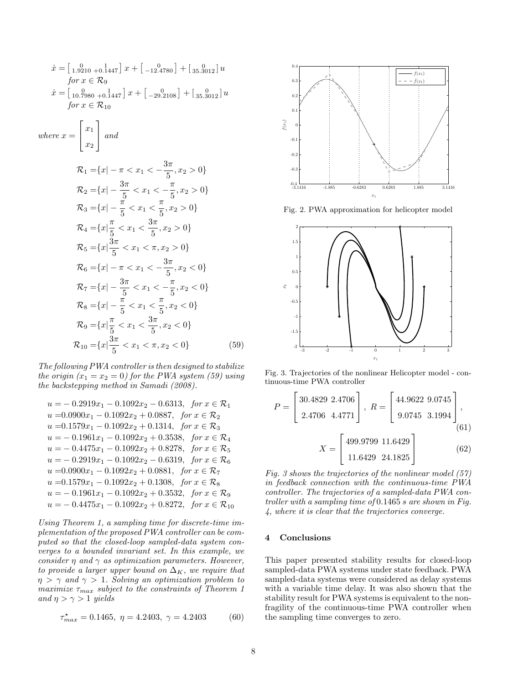$$
\begin{aligned}\n\dot{x} &= \begin{bmatrix} 1.9210 + 0.1447 \end{bmatrix} x + \begin{bmatrix} 0.9210 + 0.1447 \end{bmatrix} x + \begin{bmatrix} 0.92108 \end{bmatrix} + \begin{bmatrix} 0.81100 \end{bmatrix} u \\
\text{for } x \in \mathcal{R}_9 \\
\dot{x} &= \begin{bmatrix} 10.7980 + 0.1447 \end{bmatrix} x + \begin{bmatrix} 0.22108 \end{bmatrix} + \begin{bmatrix} 0.813012 \end{bmatrix} u \\
\text{for } x \in \mathcal{R}_{10}\n\end{aligned}
$$
\n
$$
\text{where } x = \begin{bmatrix} x_1 \\ x_2 \end{bmatrix} \text{ and}
$$
\n
$$
\begin{aligned}\n\mathcal{R}_1 &= \{x \mid -\pi < x_1 < -\frac{3\pi}{5}, x_2 > 0\} \\
\mathcal{R}_2 &= \{x \mid -\frac{3\pi}{5} < x_1 < -\frac{\pi}{5}, x_2 > 0\} \\
\mathcal{R}_3 &= \{x \mid -\frac{\pi}{5} < x_1 < \frac{\pi}{5}, x_2 > 0\} \\
\mathcal{R}_4 &= \{x \mid \frac{\pi}{5} < x_1 < \frac{3\pi}{5}, x_2 > 0\} \\
\mathcal{R}_5 &= \{x \mid \frac{3\pi}{5} < x_1 < \pi, x_2 > 0\} \\
\mathcal{R}_6 &= \{x \mid -\pi < x_1 < -\frac{3\pi}{5}, x_2 < 0\} \\
\mathcal{R}_7 &= \{x \mid -\frac{3\pi}{5} < x_1 < -\frac{\pi}{5}, x_2 < 0\} \\
\mathcal{R}_8 &= \{x \mid -\frac{\pi}{5} < x_1 < \frac{\pi}{5}, x_2 < 0\} \\
\mathcal{R}_9 &= \{x \mid \frac{\pi}{5} < x_1 < \frac{\pi}{5}, x_2 < 0\} \\
\mathcal{R}_1 &= \{
$$

The following PWA controller is then designed to stabilize the origin  $(x_1 = x_2 = 0)$  for the PWA system (59) using the backstepping method in Samadi (2008).

$$
u = -0.2919x_1 - 0.1092x_2 - 0.6313, \quad \text{for } x \in \mathcal{R}_1
$$
\n
$$
u = 0.0900x_1 - 0.1092x_2 + 0.0887, \quad \text{for } x \in \mathcal{R}_2
$$
\n
$$
u = 0.1579x_1 - 0.1092x_2 + 0.1314, \quad \text{for } x \in \mathcal{R}_3
$$
\n
$$
u = -0.1961x_1 - 0.1092x_2 + 0.3538, \quad \text{for } x \in \mathcal{R}_4
$$
\n
$$
u = -0.4475x_1 - 0.1092x_2 + 0.8278, \quad \text{for } x \in \mathcal{R}_5
$$
\n
$$
u = -0.2919x_1 - 0.1092x_2 - 0.6319, \quad \text{for } x \in \mathcal{R}_6
$$
\n
$$
u = 0.0900x_1 - 0.1092x_2 + 0.0881, \quad \text{for } x \in \mathcal{R}_7
$$
\n
$$
u = 0.1579x_1 - 0.1092x_2 + 0.1308, \quad \text{for } x \in \mathcal{R}_8
$$
\n
$$
u = -0.1961x_1 - 0.1092x_2 + 0.3532, \quad \text{for } x \in \mathcal{R}_9
$$
\n
$$
u = -0.4475x_1 - 0.1092x_2 + 0.8272, \quad \text{for } x \in \mathcal{R}_{10}
$$

Using Theorem 1, a sampling time for discrete-time implementation of the proposed PWA controller can be computed so that the closed-loop sampled-data system converges to a bounded invariant set. In this example, we consider  $\eta$  and  $\gamma$  as optimization parameters. However, to provide a larger upper bound on  $\Delta_K$ , we require that  $\eta > \gamma$  and  $\gamma > 1$ . Solving an optimization problem to maximize  $\tau_{max}$  subject to the constraints of Theorem 1 and  $\eta > \gamma > 1$  yields

$$
\tau_{max}^{\star} = 0.1465, \ \eta = 4.2403, \ \gamma = 4.2403 \tag{60}
$$



Fig. 2. PWA approximation for helicopter model



Fig. 3. Trajectories of the nonlinear Helicopter model - continuous-time PWA controller

$$
P = \begin{bmatrix} 30.4829 & 2.4706 \\ 2.4706 & 4.4771 \end{bmatrix}, R = \begin{bmatrix} 44.9622 & 9.0745 \\ 9.0745 & 3.1994 \end{bmatrix},
$$

$$
X = \begin{bmatrix} 499.9799 & 11.6429 \\ 11.6429 & 24.1825 \end{bmatrix}
$$
(62)

Fig. 3 shows the trajectories of the nonlinear model (57) in feedback connection with the continuous-time PWA controller. The trajectories of a sampled-data PWA controller with a sampling time of 0.1465 s are shown in Fig. 4, where it is clear that the trajectories converge.

#### 4 Conclusions

This paper presented stability results for closed-loop sampled-data PWA systems under state feedback. PWA sampled-data systems were considered as delay systems with a variable time delay. It was also shown that the stability result for PWA systems is equivalent to the nonfragility of the continuous-time PWA controller when the sampling time converges to zero.